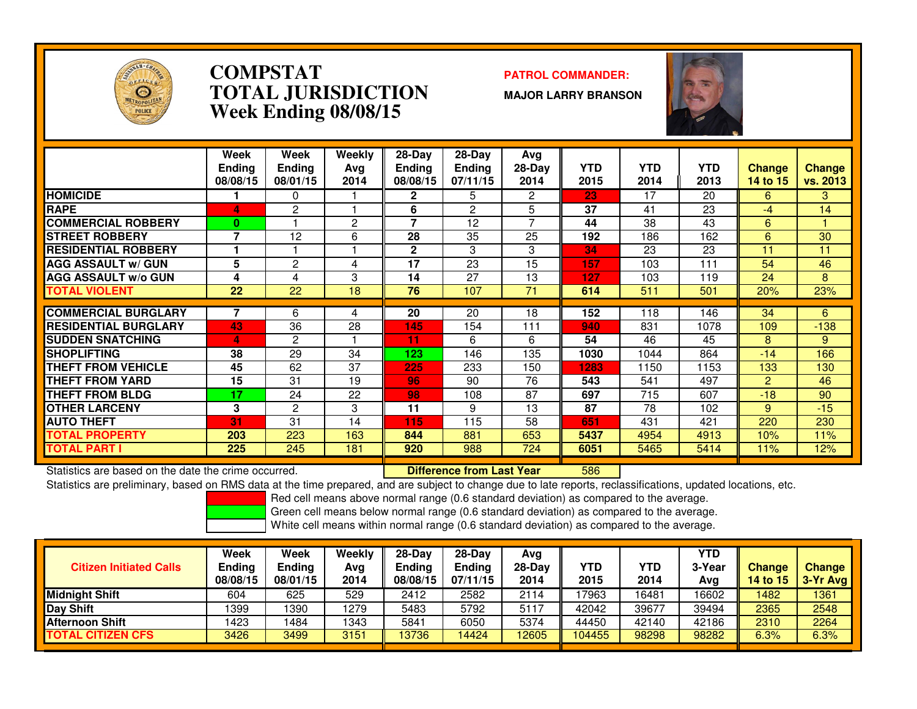

### **COMPSTAT PATROL COMMANDER: TOTAL JURISDICTIONWeek Ending 08/08/15**

**MAJOR LARRY BRANSON**



|                             | Week          | Week          | Weekly | 28-Day        | $28$ -Day     | Avg    |            |            |            |          |          |
|-----------------------------|---------------|---------------|--------|---------------|---------------|--------|------------|------------|------------|----------|----------|
|                             | <b>Ending</b> | <b>Ending</b> | Avg    | <b>Ending</b> | <b>Ending</b> | 28-Day | <b>YTD</b> | <b>YTD</b> | <b>YTD</b> | Change   | Change   |
|                             | 08/08/15      | 08/01/15      | 2014   | 08/08/15      | 07/11/15      | 2014   | 2015       | 2014       | 2013       | 14 to 15 | vs. 2013 |
| <b>HOMICIDE</b>             |               | 0             |        | $\mathbf{2}$  | 5.            | 2      | 23         | 17         | 20         | 6        | 3        |
| <b>RAPE</b>                 | 4             | 2             |        | 6             | 2             | 5      | 37         | 41         | 23         | $-4$     | 14       |
| <b>COMMERCIAL ROBBERY</b>   | $\bf{0}$      |               | 2      | 7             | 12            |        | 44         | 38         | 43         | 6        |          |
| <b>ISTREET ROBBERY</b>      | 7             | 12            | 6      | 28            | 35            | 25     | 192        | 186        | 162        | 6        | 30       |
| <b>RESIDENTIAL ROBBERY</b>  |               |               |        | $\mathbf{2}$  | 3             | 3      | 34         | 23         | 23         | 11       | 11       |
| <b>AGG ASSAULT w/ GUN</b>   | 5             | 2             | 4      | 17            | 23            | 15     | 157        | 103        | 111        | 54       | 46       |
| <b>AGG ASSAULT w/o GUN</b>  | 4             | 4             | 3      | 14            | 27            | 13     | 127        | 103        | 119        | 24       | 8        |
| <b>TOTAL VIOLENT</b>        | 22            | 22            | 18     | 76            | 107           | 71     | 614        | 511        | 501        | 20%      | 23%      |
|                             |               |               |        |               |               |        |            |            |            |          |          |
| <b>COMMERCIAL BURGLARY</b>  | 7             | 6             | 4      | 20            | 20            | 18     | 152        | 118        | 146        | 34       | 6        |
| <b>RESIDENTIAL BURGLARY</b> | 43            | 36            | 28     | 145           | 154           | 111    | 940        | 831        | 1078       | 109      | $-138$   |
| <b>SUDDEN SNATCHING</b>     | 4             | 2             |        | 11            | 6             | 6      | 54         | 46         | 45         | 8        | 9        |
| <b>SHOPLIFTING</b>          | 38            | 29            | 34     | 123           | 146           | 135    | 1030       | 1044       | 864        | $-14$    | 166      |
| THEFT FROM VEHICLE          | 45            | 62            | 37     | 225           | 233           | 150    | 1283       | 1150       | 1153       | 133      | 130      |
| <b>THEFT FROM YARD</b>      | 15            | 31            | 19     | 96            | 90            | 76     | 543        | 541        | 497        | 2        | 46       |
| <b>THEFT FROM BLDG</b>      | 17            | 24            | 22     | 98            | 108           | 87     | 697        | 715        | 607        | $-18$    | 90       |
| <b>OTHER LARCENY</b>        | 3             | 2             | 3      | 11            | 9             | 13     | 87         | 78         | 102        | 9        | $-15$    |
| <b>AUTO THEFT</b>           | 31            | 31            | 14     | 115           | 115           | 58     | 651        | 431        | 421        | 220      | 230      |
| TOTAL PROPERTY              | 203           | 223           | 163    | 844           | 881           | 653    | 5437       | 4954       | 4913       | 10%      | 11%      |
| TOTAL PART I                | 225           | 245           | 181    | 920           | 988           | 724    | 6051       | 5465       | 5414       | 11%      | 12%      |

Statistics are based on the date the crime occurred. **Difference from Last Year** 

<sup>586</sup>

 Statistics are preliminary, based on RMS data at the time prepared, and are subject to change due to late reports, reclassifications, updated locations, etc.Red cell means above normal range (0.6 standard deviation) as compared to the average.

Green cell means below normal range (0.6 standard deviation) as compared to the average.

|                                | Week     | Week     | Weekly | 28-Dav   | $28-Day$      | Avg      |            |       | YTD.   |                 |          |
|--------------------------------|----------|----------|--------|----------|---------------|----------|------------|-------|--------|-----------------|----------|
| <b>Citizen Initiated Calls</b> | Ending   | Ending   | Ava    | Ending   | <b>Ending</b> | $28-Dav$ | <b>YTD</b> | YTD   | 3-Year | <b>Change</b>   | Change   |
|                                | 08/08/15 | 08/01/15 | 2014   | 08/08/15 | 07/11/15      | 2014     | 2015       | 2014  | Avg    | <b>14 to 15</b> | 3-Yr Ava |
| <b>Midnight Shift</b>          | 604      | 625      | 529    | 2412     | 2582          | 2114     | 17963      | 6481  | 16602  | 1482            | 1361     |
| Day Shift                      | 1399     | 1390     | 1279   | 5483     | 5792          | 5117     | 42042      | 39677 | 39494  | 2365            | 2548     |
| Afternoon Shift                | 1423     | 484      | 1343   | 5841     | 6050          | 5374     | 44450      | 42140 | 42186  | 2310            | 2264     |
| <b>TOTAL CITIZEN CFS</b>       | 3426     | 3499     | 3151   | 13736    | 4424          | 12605    | 104455     | 98298 | 98282  | 6.3%            | 6.3%     |
|                                |          |          |        |          |               |          |            |       |        |                 |          |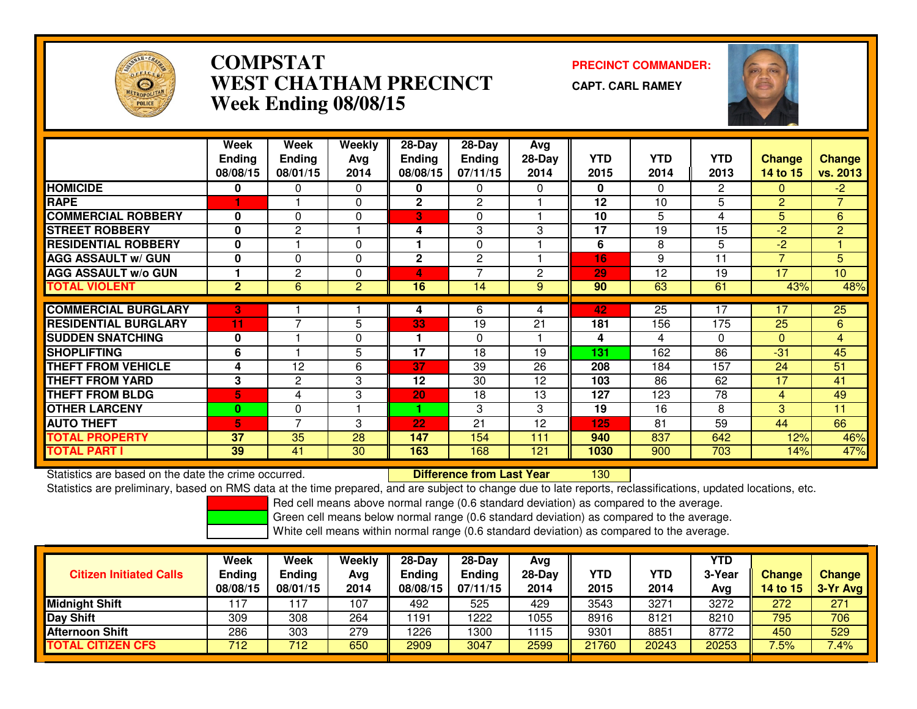

# **COMPSTAT PRECINCT COMMANDER: WEST CHATHAM PRECINCTWeek Ending 08/08/15**

**CAPT. CARL RAMEY**

<sup>130</sup>



|                             | Week<br><b>Ending</b><br>08/08/15 | Week<br><b>Ending</b><br>08/01/15 | <b>Weekly</b><br>Avq<br>2014 | $28-Day$<br><b>Ending</b><br>08/08/15 | $28$ -Day<br><b>Ending</b><br>07/11/15 | Avg<br>$28-Day$<br>2014 | <b>YTD</b><br>2015 | <b>YTD</b><br>2014 | <b>YTD</b><br>2013 | <b>Change</b><br>14 to 15 | Change<br>vs. 2013 |
|-----------------------------|-----------------------------------|-----------------------------------|------------------------------|---------------------------------------|----------------------------------------|-------------------------|--------------------|--------------------|--------------------|---------------------------|--------------------|
| <b>HOMICIDE</b>             | 0                                 | 0                                 | 0                            | 0                                     | 0                                      | 0                       | 0                  | $\Omega$           | $\overline{2}$     | 0                         | $-2$               |
| <b>RAPE</b>                 |                                   |                                   | 0                            | $\mathbf 2$                           | $\mathbf{2}$                           |                         | 12                 | 10                 | 5                  | $\overline{2}$            | $\overline{7}$     |
| <b>COMMERCIAL ROBBERY</b>   | 0                                 | $\Omega$                          | 0                            | 3                                     | $\Omega$                               |                         | 10                 | 5                  | 4                  | 5                         | 6                  |
| <b>STREET ROBBERY</b>       | $\bf{0}$                          | $\overline{2}$                    | ٠                            | 4                                     | 3                                      | 3                       | 17                 | 19                 | 15                 | $-2$                      | $\overline{2}$     |
| <b>RESIDENTIAL ROBBERY</b>  | $\bf{0}$                          |                                   | 0                            |                                       | $\Omega$                               |                         | 6                  | 8                  | 5                  | $-2$                      |                    |
| <b>AGG ASSAULT w/ GUN</b>   | $\bf{0}$                          | $\Omega$                          | 0                            | 2                                     | $\mathbf{2}$                           |                         | 16                 | 9                  | 11                 | 7                         | 5                  |
| <b>AGG ASSAULT w/o GUN</b>  |                                   | 2                                 | 0                            | 4                                     | 7                                      | 2                       | 29                 | 12                 | 19                 | 17                        | 10 <sup>10</sup>   |
| <b>TOTAL VIOLENT</b>        | $\overline{2}$                    | 6                                 | 2                            | 16                                    | 14                                     | 9                       | 90                 | 63                 | 61                 | 43%                       | 48%                |
|                             |                                   |                                   |                              |                                       |                                        |                         |                    |                    |                    |                           |                    |
| <b>COMMERCIAL BURGLARY</b>  | 3                                 |                                   |                              | 4                                     | 6                                      | 4                       | 42                 | 25                 | 17                 | 17                        | $\overline{25}$    |
| <b>RESIDENTIAL BURGLARY</b> | 11                                | ⇁                                 | 5                            | 33                                    | 19                                     | 21                      | 181                | 156                | 175                | 25                        | 6                  |
| <b>SUDDEN SNATCHING</b>     | $\bf{0}$                          |                                   | 0                            |                                       | $\Omega$                               |                         | 4                  | 4                  | $\Omega$           | $\Omega$                  | 4                  |
| <b>SHOPLIFTING</b>          | 6                                 |                                   | 5                            | 17                                    | 18                                     | 19                      | 131                | 162                | 86                 | $-31$                     | 45                 |
| <b>THEFT FROM VEHICLE</b>   | 4                                 | 12                                | 6                            | 37                                    | 39                                     | 26                      | 208                | 184                | 157                | 24                        | 51                 |
| <b>THEFT FROM YARD</b>      | 3                                 | $\overline{2}$                    | 3                            | 12                                    | 30                                     | 12                      | 103                | 86                 | 62                 | 17                        | 41                 |
| <b>THEFT FROM BLDG</b>      | 5                                 | 4                                 | 3                            | 20                                    | 18                                     | 13                      | 127                | 123                | 78                 | 4                         | 49                 |
| <b>OTHER LARCENY</b>        | 0                                 | $\Omega$                          | 1                            |                                       | 3                                      | 3                       | 19                 | 16                 | 8                  | 3                         | 11                 |
| <b>AUTO THEFT</b>           | 5.                                | 7                                 | 3                            | 22                                    | 21                                     | 12                      | 125                | 81                 | 59                 | 44                        | 66                 |
| <b>TOTAL PROPERTY</b>       | 37                                | 35                                | 28                           | 147                                   | 154                                    | 111                     | 940                | 837                | 642                | 12%                       | 46%                |
| <b>TOTAL PART I</b>         | 39                                | 41                                | 30                           | 163                                   | 168                                    | 121                     | 1030               | 900                | 703                | 14%                       | 47%                |

Statistics are based on the date the crime occurred. **Difference from Last Year** 

Statistics are preliminary, based on RMS data at the time prepared, and are subject to change due to late reports, reclassifications, updated locations, etc.

Red cell means above normal range (0.6 standard deviation) as compared to the average.

Green cell means below normal range (0.6 standard deviation) as compared to the average.

| <b>Citizen Initiated Calls</b> | Week<br><b>Ending</b><br>08/08/15 | <b>Week</b><br><b>Ending</b><br>08/01/15 | Weekly<br>Avg<br>2014 | $28-Dav$<br><b>Ending</b><br>08/08/15 | $28-Dav$<br>Ending<br>07/11/15 | Ava<br>$28-Day$<br>2014 | YTD<br>2015 | <b>YTD</b><br>2014 | YTD<br>3-Year<br>Avg | <b>Change</b><br>14 to 15 | Change<br>3-Yr Avg |
|--------------------------------|-----------------------------------|------------------------------------------|-----------------------|---------------------------------------|--------------------------------|-------------------------|-------------|--------------------|----------------------|---------------------------|--------------------|
| <b>Midnight Shift</b>          |                                   | 17                                       | 107                   | 492                                   | 525                            | 429                     | 3543        | 3271               | 3272                 | 272                       | 271                |
| <b>Day Shift</b>               | 309                               | 308                                      | 264                   | 1191                                  | 222                            | 1055                    | 8916        | 8121               | 8210                 | 795                       | 706                |
| <b>Afternoon Shift</b>         | 286                               | 303                                      | 279                   | 1226                                  | 300                            | 1115                    | 9301        | 8851               | 8772                 | 450                       | 529                |
| <b>TOTAL CITIZEN CFS</b>       | 712                               | 712                                      | 650                   | 2909                                  | 3047                           | 2599                    | 21760       | 20243              | 20253                | 7.5%                      | 7.4%               |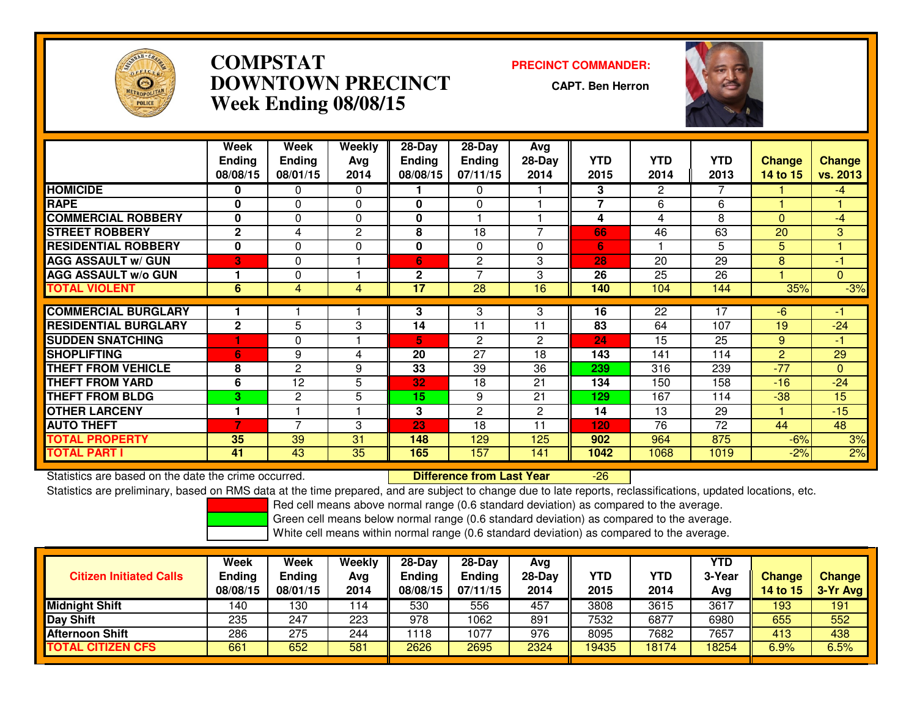

# **COMPSTAT PRECINCT COMMANDER: DOWNTOWN PRECINCTWeek Ending 08/08/15**

**CAPT. Ben Herron**

-26



|                             | <b>Week</b>   | Week           | Weekly         | 28-Day          | 28-Day          | Avg            |                |                       |                 |                |               |
|-----------------------------|---------------|----------------|----------------|-----------------|-----------------|----------------|----------------|-----------------------|-----------------|----------------|---------------|
|                             | <b>Ending</b> | <b>Ending</b>  | Avg            | <b>Ending</b>   | <b>Ending</b>   | 28-Day         | <b>YTD</b>     | <b>YTD</b>            | <b>YTD</b>      | <b>Change</b>  | <b>Change</b> |
|                             | 08/08/15      | 08/01/15       | 2014           | 08/08/15        | 07/11/15        | 2014           | 2015           | 2014                  | 2013            | 14 to 15       | vs. 2013      |
| <b>HOMICIDE</b>             | 0             | 0              | 0              |                 | 0               |                | 3              | $\mathbf{2}^{\prime}$ |                 |                | $-4$          |
| <b>RAPE</b>                 | $\bf{0}$      | $\Omega$       | $\Omega$       | $\bf{0}$        | $\Omega$        |                | $\overline{7}$ | 6                     | 6               |                |               |
| <b>COMMERCIAL ROBBERY</b>   | $\bf{0}$      | 0              | 0              | 0               |                 |                | 4              | 4                     | 8               | $\Omega$       | $-4$          |
| <b>STREET ROBBERY</b>       | $\mathbf{2}$  | 4              | $\overline{2}$ | 8               | 18              |                | 66             | 46                    | 63              | 20             | 3             |
| <b>RESIDENTIAL ROBBERY</b>  | 0             | $\mathbf{0}$   | 0              | 0               | 0               | 0              | 6              |                       | 5               | 5.             |               |
| <b>AGG ASSAULT W/ GUN</b>   | B             | $\Omega$       |                | 6               | $\mathbf{2}$    | 3              | 28             | 20                    | 29              | 8              | $-1$          |
| <b>AGG ASSAULT w/o GUN</b>  |               | $\Omega$       |                | $\mathbf{2}$    | $\overline{7}$  | 3              | 26             | 25                    | 26              |                | $\Omega$      |
| <b>TOTAL VIOLENT</b>        | 6             | 4              | 4              | $\overline{17}$ | $\overline{28}$ | 16             | 140            | 104                   | 144             | 35%            | $-3%$         |
|                             |               |                |                |                 |                 |                |                |                       |                 |                |               |
| <b>COMMERCIAL BURGLARY</b>  |               |                |                | 3               | 3               | 3              | 16             | 22                    | 17              | $-6$           | -1            |
| <b>RESIDENTIAL BURGLARY</b> | $\mathbf{2}$  | 5              | 3              | 14              | 11              | 11             | 83             | 64                    | 107             | 19             | $-24$         |
| <b>SUDDEN SNATCHING</b>     |               | $\Omega$       |                | 5               | $\mathbf{2}$    | $\overline{2}$ | 24             | 15                    | $\overline{25}$ | 9              | -1            |
| <b>SHOPLIFTING</b>          | 6             | 9              | 4              | 20              | 27              | 18             | 143            | 141                   | 114             | $\overline{2}$ | 29            |
| <b>THEFT FROM VEHICLE</b>   | 8             | $\overline{c}$ | 9              | 33              | 39              | 36             | 239            | 316                   | 239             | $-77$          | $\Omega$      |
| <b>THEFT FROM YARD</b>      | 6             | 12             | 5              | 32              | 18              | 21             | 134            | 150                   | 158             | $-16$          | $-24$         |
| <b>THEFT FROM BLDG</b>      | 3             | 2              | 5              | 15              | 9               | 21             | 129            | 167                   | 114             | $-38$          | 15            |
| <b>OTHER LARCENY</b>        |               |                |                | 3               | $\overline{c}$  | 2              | 14             | 13                    | 29              |                | $-15$         |
| <b>AUTO THEFT</b>           | 7             | ⇁              | 3              | 23              | 18              | 11             | 120            | 76                    | 72              | 44             | 48            |
| <b>TOTAL PROPERTY</b>       | 35            | 39             | 31             | 148             | 129             | 125            | 902            | 964                   | 875             | $-6%$          | 3%            |
| <b>TOTAL PART I</b>         | 41            | 43             | 35             | 165             | 157             | 141            | 1042           | 1068                  | 1019            | $-2%$          | 2%            |

Statistics are based on the date the crime occurred. **Difference from Last Year** 

Statistics are preliminary, based on RMS data at the time prepared, and are subject to change due to late reports, reclassifications, updated locations, etc.

Red cell means above normal range (0.6 standard deviation) as compared to the average.

Green cell means below normal range (0.6 standard deviation) as compared to the average.

| <b>Citizen Initiated Calls</b> | Week<br><b>Ending</b><br>08/08/15 | Week<br><b>Ending</b><br>08/01/15 | Weekly<br>Avg<br>2014 | 28-Day<br><b>Ending</b><br>08/08/15 | $28-Dav$<br><b>Ending</b><br>07/11/15 | Avg<br>$28-Day$<br>2014 | YTD<br>2015 | YTD<br>2014 | YTD<br>3-Year<br>Avg | <b>Change</b><br><b>14 to 15</b> | <b>Change</b><br>3-Yr Avg |
|--------------------------------|-----------------------------------|-----------------------------------|-----------------------|-------------------------------------|---------------------------------------|-------------------------|-------------|-------------|----------------------|----------------------------------|---------------------------|
| <b>Midnight Shift</b>          | 140                               | 130                               | 114                   | 530                                 | 556                                   | 457                     | 3808        | 3615        | 3617                 | 193                              | 191                       |
| Day Shift                      | 235                               | 247                               | 223                   | 978                                 | 1062                                  | 891                     | 7532        | 6877        | 6980                 | 655                              | 552                       |
| <b>Afternoon Shift</b>         | 286                               | 275                               | 244                   | 1118                                | 1077                                  | 976                     | 8095        | 7682        | 7657                 | 413                              | 438                       |
| <b>TOTAL CITIZEN CFS</b>       | 661                               | 652                               | 581                   | 2626                                | 2695                                  | 2324                    | 19435       | 18174       | 18254                | 6.9%                             | 6.5%                      |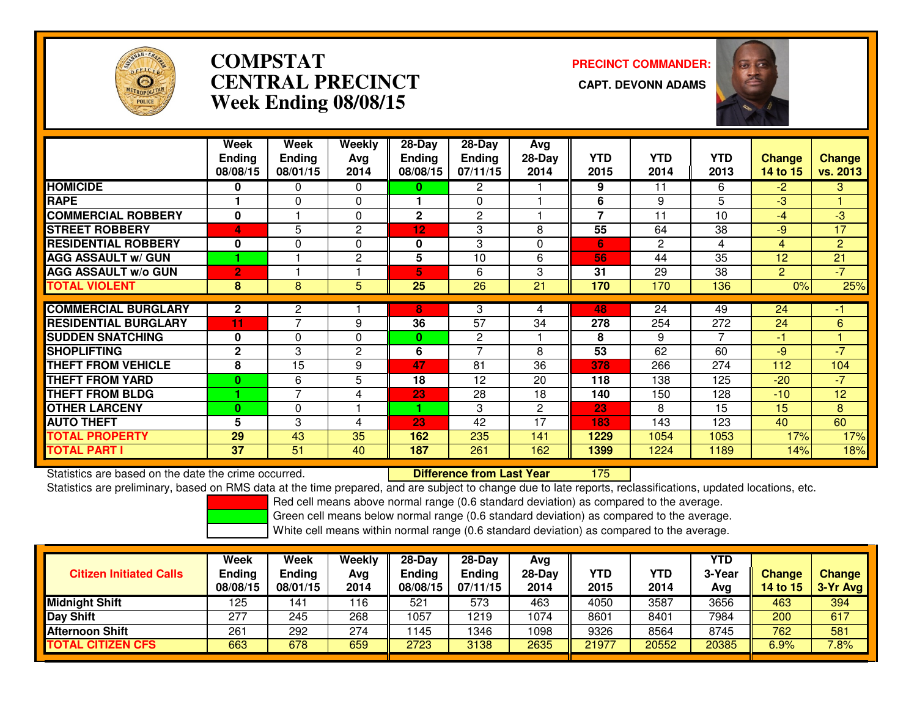

# **COMPSTATCENTRAL PRECINCT Week Ending 08/08/15**

**PRECINCT COMMANDER:**



|                             | Week           | Week           | Weekly         | 28-Day          | $28$ -Day       | Avg            |                |              |            |                |                |
|-----------------------------|----------------|----------------|----------------|-----------------|-----------------|----------------|----------------|--------------|------------|----------------|----------------|
|                             | <b>Endina</b>  | <b>Ending</b>  | Avg            | Endina          | <b>Ending</b>   | $28-Day$       | <b>YTD</b>     | <b>YTD</b>   | <b>YTD</b> | <b>Change</b>  | <b>Change</b>  |
|                             | 08/08/15       | 08/01/15       | 2014           | 08/08/15        | 07/11/15        | 2014           | 2015           | 2014         | 2013       | 14 to 15       | vs. 2013       |
| <b>HOMICIDE</b>             | 0              | 0              | $\Omega$       | 0               | 2               |                | 9              | 11           | 6          | $-2$           | 3              |
| <b>RAPE</b>                 |                | 0              | $\Omega$       |                 | $\Omega$        |                | 6              | 9            | 5          | $-3$           |                |
| <b>COMMERCIAL ROBBERY</b>   | $\bf{0}$       |                | $\mathbf{0}$   | $\mathbf{2}$    | $\overline{2}$  |                | $\overline{7}$ | 11           | 10         | $-4$           | $-3$           |
| <b>STREET ROBBERY</b>       | 4              | 5              | 2              | 12              | 3               | 8              | 55             | 64           | 38         | $-9$           | 17             |
| <b>RESIDENTIAL ROBBERY</b>  | $\bf{0}$       | 0              | $\Omega$       | 0               | 3               | $\Omega$       | 6              | $\mathbf{2}$ | 4          | 4              | $\overline{2}$ |
| <b>AGG ASSAULT w/ GUN</b>   |                |                | $\overline{2}$ | 5               | 10              | 6              | 56             | 44           | 35         | 12             | 21             |
| <b>AGG ASSAULT w/o GUN</b>  | $\overline{2}$ |                |                | 5               | 6               | 3              | 31             | 29           | 38         | $\overline{2}$ | $-7$           |
| <b>TOTAL VIOLENT</b>        | 8              | 8              | 5              | $\overline{25}$ | $\overline{26}$ | 21             | 170            | 170          | 136        | 0%             | 25%            |
|                             |                |                |                |                 |                 |                |                |              |            |                |                |
| <b>COMMERCIAL BURGLARY</b>  | $\mathbf{2}$   | 2              |                | 8               | 3               | 4              | 48             | 24           | 49         | 24             | -1             |
| <b>RESIDENTIAL BURGLARY</b> | 11             | $\overline{ }$ | 9              | 36              | 57              | 34             | 278            | 254          | 272        | 24             | 6              |
| <b>SUDDEN SNATCHING</b>     | 0              | 0              | 0              | $\bf{0}$        | 2               |                | 8              | 9            | 7          | -1             |                |
| <b>SHOPLIFTING</b>          | $\mathbf{2}$   | 3              | 2              | 6               | $\overline{z}$  | 8              | 53             | 62           | 60         | $-9$           | $-7$           |
| <b>THEFT FROM VEHICLE</b>   | 8              | 15             | 9              | 47              | 81              | 36             | 378            | 266          | 274        | 112            | 104            |
| <b>THEFT FROM YARD</b>      | $\bf{0}$       | 6              | 5              | 18              | 12              | 20             | 118            | 138          | 125        | $-20$          | $-7$           |
| <b>THEFT FROM BLDG</b>      |                | 7              | 4              | 23              | 28              | 18             | 140            | 150          | 128        | $-10$          | 12             |
| <b>OTHER LARCENY</b>        | $\bf{0}$       | 0              |                | 1               | 3               | $\overline{2}$ | 23             | 8            | 15         | 15             | 8              |
| <b>AUTO THEFT</b>           | 5              | 3              | 4              | 23              | 42              | 17             | 183            | 143          | 123        | 40             | 60             |
| <b>TOTAL PROPERTY</b>       | 29             | 43             | 35             | 162             | 235             | 141            | 1229           | 1054         | 1053       | 17%            | 17%            |
| TOTAL PART I                | 37             | 51             | 40             | 187             | 261             | 162            | 1399           | 1224         | 1189       | 14%            | 18%            |

Statistics are based on the date the crime occurred. **Difference from Last Year** 

<sup>175</sup>

Statistics are preliminary, based on RMS data at the time prepared, and are subject to change due to late reports, reclassifications, updated locations, etc.

Red cell means above normal range (0.6 standard deviation) as compared to the average.

Green cell means below normal range (0.6 standard deviation) as compared to the average.

| <b>Citizen Initiated Calls</b> | Week<br><b>Ending</b><br>08/08/15 | Week<br>Ending<br>08/01/15 | Weekly<br>Avg<br>2014 | $28-Dav$<br><b>Ending</b><br>08/08/15 | $28-Day$<br><b>Ending</b><br>07/11/15 | Avg<br>28-Day<br>2014 | YTD<br>2015 | <b>YTD</b><br>2014 | YTD<br>3-Year<br>Avg | <b>Change</b><br>14 to 15 | <b>Change</b><br>3-Yr Avg |
|--------------------------------|-----------------------------------|----------------------------|-----------------------|---------------------------------------|---------------------------------------|-----------------------|-------------|--------------------|----------------------|---------------------------|---------------------------|
| <b>Midnight Shift</b>          | 125                               | 141                        | 116                   | 521                                   | 573                                   | 463                   | 4050        | 3587               | 3656                 | 463                       | 394                       |
| <b>Day Shift</b>               | 277                               | 245                        | 268                   | 1057                                  | 1219                                  | 1074                  | 8601        | 8401               | 7984                 | 200                       | 617                       |
| Afternoon Shift                | 261                               | 292                        | 274                   | 145                                   | 1346                                  | 1098                  | 9326        | 8564               | 8745                 | 762                       | 581                       |
| <b>TOTAL CITIZEN CFS</b>       | 663                               | 678                        | 659                   | 2723                                  | 3138                                  | 2635                  | 21977       | 20552              | 20385                | 6.9%                      | 7.8%                      |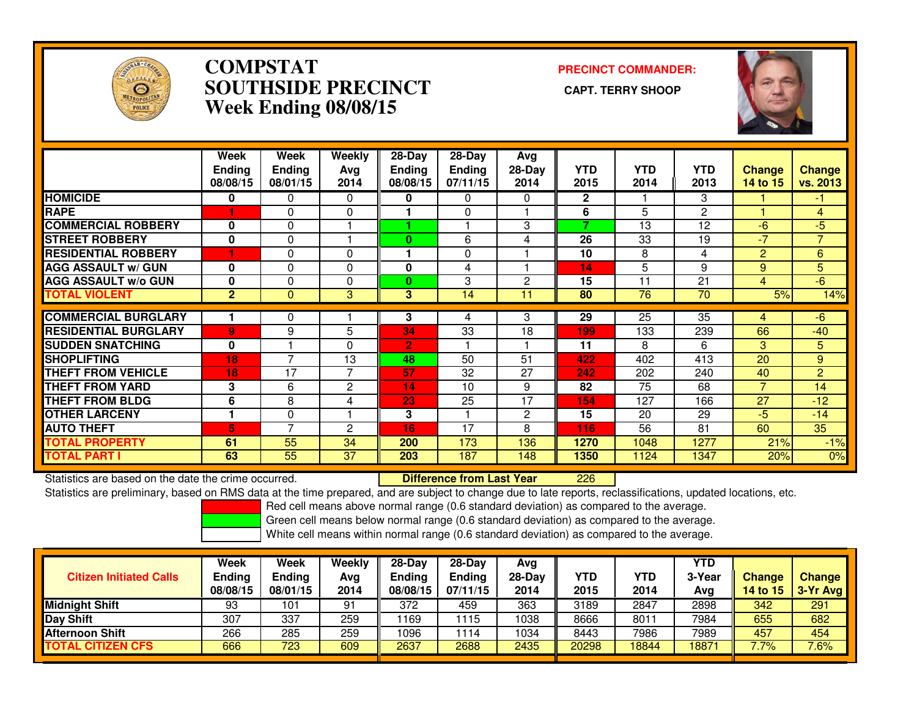

### **COMPSTAT PRECINCT COMMANDER: SOUTHSIDE PRECINCT CAPT. TERRY SHOOPWeek Ending 08/08/15**



|                             | Week<br><b>Ending</b><br>08/08/15 | Week<br><b>Ending</b><br>08/01/15 | Weekly<br>Ava<br>2014 | $28-Day$<br><b>Ending</b><br>08/08/15 | $28 - Day$<br><b>Ending</b><br>07/11/15 | Avg<br>$28-Day$<br>2014 | <b>YTD</b><br>2015 | <b>YTD</b><br>2014 | <b>YTD</b><br>2013 | <b>Change</b><br>14 to 15 | <b>Change</b><br>vs. 2013 |
|-----------------------------|-----------------------------------|-----------------------------------|-----------------------|---------------------------------------|-----------------------------------------|-------------------------|--------------------|--------------------|--------------------|---------------------------|---------------------------|
| <b>HOMICIDE</b>             | 0                                 | 0                                 | 0                     | 0                                     | 0                                       | 0                       | $\mathbf{2}$       |                    | 3                  |                           | -1                        |
| <b>RAPE</b>                 |                                   | $\Omega$                          | $\Omega$              |                                       | 0                                       |                         | 6                  | 5                  | $\mathbf{P}$       |                           | 4                         |
| <b>COMMERCIAL ROBBERY</b>   | 0                                 | 0                                 |                       |                                       |                                         | 3                       | ⇁                  | 13                 | 12                 | $-6$                      | $-5$                      |
| <b>STREET ROBBERY</b>       | $\bf{0}$                          | $\Omega$                          |                       | $\bf{0}$                              | 6                                       | 4                       | 26                 | 33                 | 19                 | $-7$                      | $\overline{7}$            |
| <b>RESIDENTIAL ROBBERY</b>  |                                   | 0                                 | 0                     |                                       | 0                                       |                         | 10                 | 8                  | 4                  | 2                         | 6                         |
| <b>AGG ASSAULT w/ GUN</b>   | $\mathbf{0}$                      | $\Omega$                          | $\Omega$              | 0                                     | 4                                       |                         | 14                 | 5                  | 9                  | 9                         | 5                         |
| <b>AGG ASSAULT w/o GUN</b>  | $\bf{0}$                          | $\Omega$                          | 0                     | 0                                     | 3                                       | $\overline{2}$          | 15                 | 11                 | 21                 | 4                         | $-6$                      |
| <b>TOTAL VIOLENT</b>        | $\overline{2}$                    | $\mathbf{0}$                      | 3                     | 3                                     | 14                                      | 11                      | 80                 | 76                 | 70                 | 5%                        | 14%                       |
| <b>COMMERCIAL BURGLARY</b>  |                                   | 0                                 |                       | 3                                     | 4                                       | 3                       | 29                 | 25                 | 35                 | 4                         | $-6$                      |
| <b>RESIDENTIAL BURGLARY</b> |                                   | 9                                 | 5                     | 34                                    | 33                                      | 18                      |                    | $\overline{133}$   | 239                | 66                        | $-40$                     |
|                             | 9                                 |                                   |                       |                                       |                                         |                         | 199                |                    |                    |                           |                           |
| <b>SUDDEN SNATCHING</b>     | $\bf{0}$                          |                                   | $\mathbf{0}$          | 2                                     |                                         |                         | 11                 | 8                  | 6                  | 3                         | 5                         |
| <b>SHOPLIFTING</b>          | 18                                | $\overline{ }$                    | 13                    | 48                                    | 50                                      | 51                      | 422                | 402                | 413                | 20                        | 9                         |
| <b>THEFT FROM VEHICLE</b>   | 18                                | 17                                | 7                     | 57                                    | 32                                      | 27                      | 242                | 202                | 240                | 40                        | $\overline{2}$            |
| <b>THEFT FROM YARD</b>      | 3                                 | 6                                 | 2                     | 14                                    | 10                                      | 9                       | 82                 | 75                 | 68                 | $\overline{ }$            | 14                        |
| <b>THEFT FROM BLDG</b>      | 6                                 | 8                                 | 4                     | 23                                    | 25                                      | 17                      | 154                | 127                | 166                | 27                        | $-12$                     |
| <b>OTHER LARCENY</b>        |                                   | $\Omega$                          |                       | 3                                     |                                         | 2                       | 15                 | 20                 | 29                 | $-5$                      | $-14$                     |
| <b>AUTO THEFT</b>           | 5                                 | $\overline{ }$                    | 2                     | 16                                    | 17                                      | 8                       | 116                | 56                 | 81                 | 60                        | 35                        |
| <b>TOTAL PROPERTY</b>       | 61                                | $\overline{55}$                   | 34                    | 200                                   | 173                                     | 136                     | 1270               | 1048               | 1277               | 21%                       | $-1%$                     |
| <b>TOTAL PART I</b>         | 63                                | 55                                | 37                    | 203                                   | 187                                     | 148                     | 1350               | 1124               | 1347               | 20%                       | 0%                        |

Statistics are based on the date the crime occurred. **Difference from Last Year** 

<sup>226</sup>

Statistics are preliminary, based on RMS data at the time prepared, and are subject to change due to late reports, reclassifications, updated locations, etc.

Red cell means above normal range (0.6 standard deviation) as compared to the average.

Green cell means below normal range (0.6 standard deviation) as compared to the average.

| <b>Citizen Initiated Calls</b> | Week<br><b>Ending</b><br>08/08/15 | Week<br><b>Ending</b><br>08/01/15 | Weekly<br>Avg<br>2014 | $28-Dav$<br><b>Ending</b><br>08/08/15 | $28 - Day$<br><b>Ending</b><br>07/11/15 | Ava<br>28-Dav<br>2014 | YTD<br>2015 | YTD<br>2014 | <b>YTD</b><br>3-Year<br>Avg | <b>Change</b><br>14 to 15 | <b>Change</b><br>$3-Yr$ Avg |
|--------------------------------|-----------------------------------|-----------------------------------|-----------------------|---------------------------------------|-----------------------------------------|-----------------------|-------------|-------------|-----------------------------|---------------------------|-----------------------------|
| <b>Midnight Shift</b>          | 93                                | 101                               | 91                    | 372                                   | 459                                     | 363                   | 3189        | 2847        | 2898                        | 342                       | 291                         |
| Day Shift                      | 307                               | 337                               | 259                   | 1169                                  | 1115                                    | 1038                  | 8666        | 8011        | 7984                        | 655                       | 682                         |
| <b>Afternoon Shift</b>         | 266                               | 285                               | 259                   | 1096                                  | 1114                                    | 1034                  | 8443        | 7986        | 7989                        | 457                       | 454                         |
| <b>TOTAL CITIZEN CFS</b>       | 666                               | 723                               | 609                   | 2637                                  | 2688                                    | 2435                  | 20298       | 18844       | 18871                       | 7.7%                      | $7.6\%$                     |